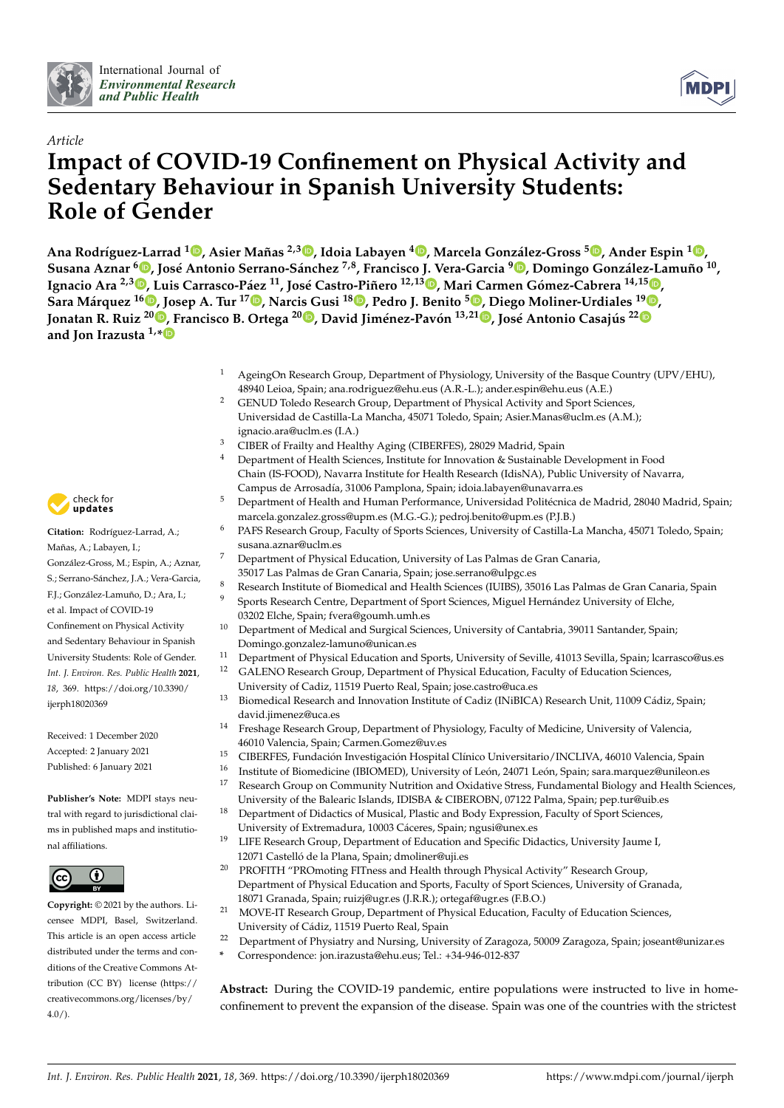



# *Article* **Impact of COVID-19 Confinement on Physical Activity and Sedentary Behaviour in Spanish University Students: Role of Gender**

Ana Rodríguez-Larrad <sup>1</sup>. Asier Mañas <sup>2[,](https://orcid.org/0000-0003-1969-3057)3</sup>. Idoia Labayen <sup>4</sup>. Marcela González-Gross <sup>5</sup>. Ander Espin <sup>1</sup>. Susana Aznar <sup>6</sup>D[,](https://orcid.org/0000-0003-4792-8087) José Antonio Serrano-Sánchez <sup>7,8</sup>, Francisco J. Vera-Garcia <sup>9</sup>D, Domingo González-Lamuño <sup>10</sup>, **Ignacio Ara 2,[3](https://orcid.org/0000-0002-2854-6684) , Luis Carrasco-Páez <sup>11</sup>, José Castro-Piñero 12,13 [,](https://orcid.org/0000-0002-7353-0382) Mari Carmen Gómez-Cabrera 14,15 [,](https://orcid.org/0000-0003-4000-1684) Sara Márquez <sup>16</sup> [,](https://orcid.org/0000-0001-7140-3163) Josep A. Tur <sup>17</sup> [,](https://orcid.org/0000-0002-6940-0761) Narcis Gusi <sup>18</sup> [,](https://orcid.org/0000-0002-1001-8883) Pedro J. Benito <sup>5</sup> [,](https://orcid.org/0000-0002-1631-8182) Diego Moliner-Urdiales <sup>19</sup> [,](https://orcid.org/0000-0001-9868-3396)** Jonatan R. Ruiz <sup>20</sup>®[,](https://orcid.org/0000-0002-8977-4744) Francisco B. Ortega <sup>[2](https://orcid.org/0000-0002-7215-6931)0</sup>®, David Jiménez-Pavón <sup>13,21</sup>®, José Antonio Casajús <sup>22</sup> **and Jon Irazusta 1,[\\*](https://orcid.org/0000-0002-6763-8602)**

- <sup>1</sup> AgeingOn Research Group, Department of Physiology, University of the Basque Country (UPV/EHU), 48940 Leioa, Spain; ana.rodriguez@ehu.eus (A.R.-L.); ander.espin@ehu.eus (A.E.)
- <sup>2</sup> GENUD Toledo Research Group, Department of Physical Activity and Sport Sciences, Universidad de Castilla-La Mancha, 45071 Toledo, Spain; Asier.Manas@uclm.es (A.M.); ignacio.ara@uclm.es (I.A.)
- <sup>3</sup> CIBER of Frailty and Healthy Aging (CIBERFES), 28029 Madrid, Spain<br><sup>4</sup> Department of Health Sciences, Institute for Innovation & Sustainable
- Department of Health Sciences, Institute for Innovation & Sustainable Development in Food Chain (IS-FOOD), Navarra Institute for Health Research (IdisNA), Public University of Navarra, Campus de Arrosadía, 31006 Pamplona, Spain; idoia.labayen@unavarra.es
- <sup>5</sup> Department of Health and Human Performance, Universidad Politécnica de Madrid, 28040 Madrid, Spain; marcela.gonzalez.gross@upm.es (M.G.-G.); pedroj.benito@upm.es (P.J.B.)
- <sup>6</sup> PAFS Research Group, Faculty of Sports Sciences, University of Castilla-La Mancha, 45071 Toledo, Spain; susana.aznar@uclm.es
- <sup>7</sup> Department of Physical Education, University of Las Palmas de Gran Canaria, 35017 Las Palmas de Gran Canaria, Spain; jose.serrano@ulpgc.es
- <sup>8</sup> Research Institute of Biomedical and Health Sciences (IUIBS), 35016 Las Palmas de Gran Canaria, Spain
	- <sup>9</sup> Sports Research Centre, Department of Sport Sciences, Miguel Hernández University of Elche, 03202 Elche, Spain; fvera@goumh.umh.es
- <sup>10</sup> Department of Medical and Surgical Sciences, University of Cantabria, 39011 Santander, Spain; Domingo.gonzalez-lamuno@unican.es
- <sup>11</sup> Department of Physical Education and Sports, University of Seville, 41013 Sevilla, Spain; lcarrasco@us.es
- <sup>12</sup> GALENO Research Group, Department of Physical Education, Faculty of Education Sciences, University of Cadiz, 11519 Puerto Real, Spain; jose.castro@uca.es
- <sup>13</sup> Biomedical Research and Innovation Institute of Cadiz (INiBICA) Research Unit, 11009 Cádiz, Spain; david.jimenez@uca.es
- <sup>14</sup> Freshage Research Group, Department of Physiology, Faculty of Medicine, University of Valencia, 46010 Valencia, Spain; Carmen.Gomez@uv.es
- <sup>15</sup> CIBERFES, Fundación Investigación Hospital Clínico Universitario/INCLIVA, 46010 Valencia, Spain<br><sup>16</sup> Instituto el Biomodicino (IBIOMED), University el Loán, 24071 Loán, Spain) agre margues @unilson e
- <sup>16</sup> Institute of Biomedicine (IBIOMED), University of León, 24071 León, Spain; sara.marquez@unileon.es<br><sup>17</sup> Recearch Croup on Community Nutrition and Oxidative Strees, Eundamental Biology and Health Scie <sup>17</sup> Research Group on Community Nutrition and Oxidative Stress, Fundamental Biology and Health Sciences, University of the Balearic Islands, IDISBA & CIBEROBN, 07122 Palma, Spain; pep.tur@uib.es
- <sup>18</sup> Department of Didactics of Musical, Plastic and Body Expression, Faculty of Sport Sciences, University of Extremadura, 10003 Cáceres, Spain; ngusi@unex.es
- <sup>19</sup> LIFE Research Group, Department of Education and Specific Didactics, University Jaume I,
	- 12071 Castelló de la Plana, Spain; dmoliner@uji.es
- <sup>20</sup> PROFITH "PROmoting FITness and Health through Physical Activity" Research Group, Department of Physical Education and Sports, Faculty of Sport Sciences, University of Granada, 18071 Granada, Spain; ruizj@ugr.es (J.R.R.); ortegaf@ugr.es (F.B.O.)
- <sup>21</sup> MOVE-IT Research Group, Department of Physical Education, Faculty of Education Sciences, University of Cádiz, 11519 Puerto Real, Spain
- <sup>22</sup> Department of Physiatry and Nursing, University of Zaragoza, 50009 Zaragoza, Spain; joseant@unizar.es
- **\*** Correspondence: jon.irazusta@ehu.eus; Tel.: +34-946-012-837

**Abstract:** During the COVID-19 pandemic, entire populations were instructed to live in homeconfinement to prevent the expansion of the disease. Spain was one of the countries with the strictest



**Citation:** Rodríguez-Larrad, A.; Mañas, A.; Labayen, I.; González-Gross, M.; Espin, A.; Aznar, S.; Serrano-Sánchez, J.A.; Vera-Garcia, F.J.; González-Lamuño, D.; Ara, I.; et al. Impact of COVID-19 Confinement on Physical Activity and Sedentary Behaviour in Spanish University Students: Role of Gender. *Int. J. Environ. Res. Public Health* **2021**, *18*, 369. [https://doi.org/10.3390/](https://doi.org/10.3390/ijerph18020369) [ijerph18020369](https://doi.org/10.3390/ijerph18020369)

Received: 1 December 2020 Accepted: 2 January 2021 Published: 6 January 2021

**Publisher's Note:** MDPI stays neutral with regard to jurisdictional claims in published maps and institutional affiliations.



**Copyright:** © 2021 by the authors. Licensee MDPI, Basel, Switzerland. This article is an open access article distributed under the terms and conditions of the Creative Commons Attribution (CC BY) license [\(https://](https://creativecommons.org/licenses/by/4.0/) [creativecommons.org/licenses/by/](https://creativecommons.org/licenses/by/4.0/)  $4.0/$ ).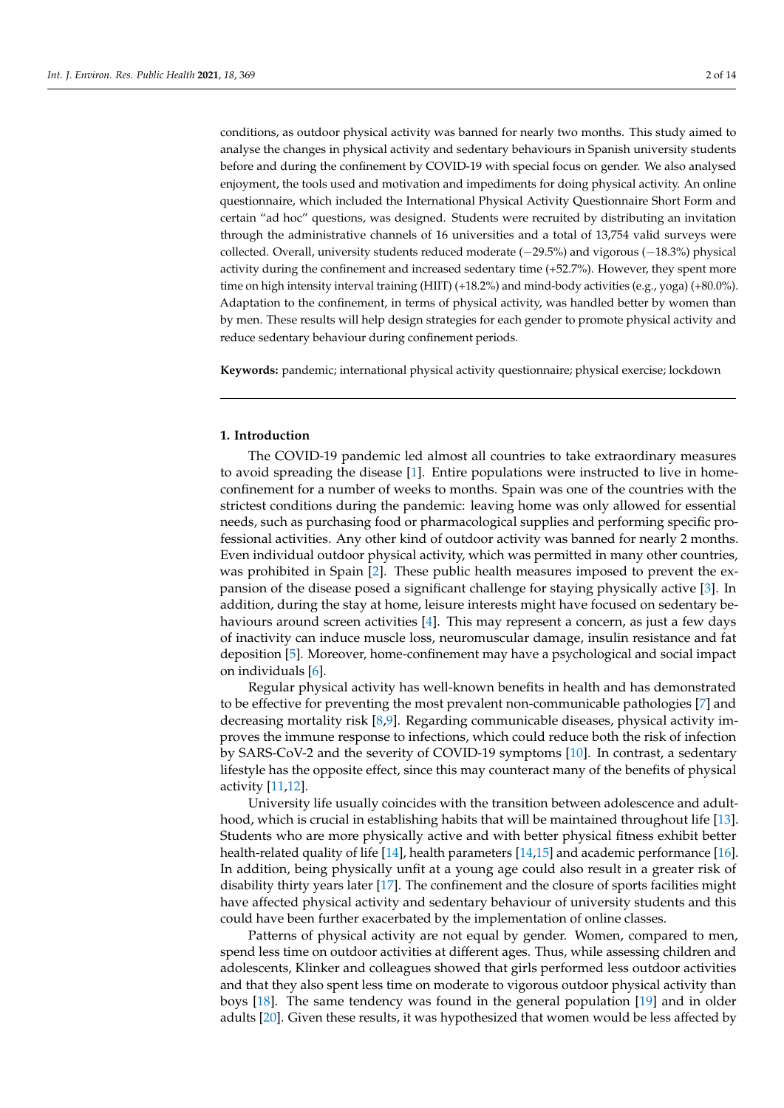conditions, as outdoor physical activity was banned for nearly two months. This study aimed to analyse the changes in physical activity and sedentary behaviours in Spanish university students before and during the confinement by COVID-19 with special focus on gender. We also analysed enjoyment, the tools used and motivation and impediments for doing physical activity. An online questionnaire, which included the International Physical Activity Questionnaire Short Form and certain "ad hoc" questions, was designed. Students were recruited by distributing an invitation through the administrative channels of 16 universities and a total of 13,754 valid surveys were collected. Overall, university students reduced moderate (−29.5%) and vigorous (−18.3%) physical activity during the confinement and increased sedentary time (+52.7%). However, they spent more time on high intensity interval training (HIIT) (+18.2%) and mind-body activities (e.g., yoga) (+80.0%). Adaptation to the confinement, in terms of physical activity, was handled better by women than by men. These results will help design strategies for each gender to promote physical activity and reduce sedentary behaviour during confinement periods.

**Keywords:** pandemic; international physical activity questionnaire; physical exercise; lockdown

#### **1. Introduction**

The COVID-19 pandemic led almost all countries to take extraordinary measures to avoid spreading the disease [\[1\]](#page-11-0). Entire populations were instructed to live in homeconfinement for a number of weeks to months. Spain was one of the countries with the strictest conditions during the pandemic: leaving home was only allowed for essential needs, such as purchasing food or pharmacological supplies and performing specific professional activities. Any other kind of outdoor activity was banned for nearly 2 months. Even individual outdoor physical activity, which was permitted in many other countries, was prohibited in Spain [\[2\]](#page-11-1). These public health measures imposed to prevent the expansion of the disease posed a significant challenge for staying physically active [\[3\]](#page-11-2). In addition, during the stay at home, leisure interests might have focused on sedentary behaviours around screen activities [\[4\]](#page-11-3). This may represent a concern, as just a few days of inactivity can induce muscle loss, neuromuscular damage, insulin resistance and fat deposition [\[5\]](#page-11-4). Moreover, home-confinement may have a psychological and social impact on individuals [\[6\]](#page-11-5).

Regular physical activity has well-known benefits in health and has demonstrated to be effective for preventing the most prevalent non-communicable pathologies [\[7\]](#page-11-6) and decreasing mortality risk [\[8](#page-11-7)[,9\]](#page-11-8). Regarding communicable diseases, physical activity improves the immune response to infections, which could reduce both the risk of infection by SARS-CoV-2 and the severity of COVID-19 symptoms [\[10\]](#page-11-9). In contrast, a sedentary lifestyle has the opposite effect, since this may counteract many of the benefits of physical activity [\[11](#page-11-10)[,12\]](#page-11-11).

University life usually coincides with the transition between adolescence and adulthood, which is crucial in establishing habits that will be maintained throughout life [\[13\]](#page-12-0). Students who are more physically active and with better physical fitness exhibit better health-related quality of life [\[14\]](#page-12-1), health parameters [\[14,](#page-12-1)[15\]](#page-12-2) and academic performance [\[16\]](#page-12-3). In addition, being physically unfit at a young age could also result in a greater risk of disability thirty years later [\[17\]](#page-12-4). The confinement and the closure of sports facilities might have affected physical activity and sedentary behaviour of university students and this could have been further exacerbated by the implementation of online classes.

Patterns of physical activity are not equal by gender. Women, compared to men, spend less time on outdoor activities at different ages. Thus, while assessing children and adolescents, Klinker and colleagues showed that girls performed less outdoor activities and that they also spent less time on moderate to vigorous outdoor physical activity than boys [\[18\]](#page-12-5). The same tendency was found in the general population [\[19\]](#page-12-6) and in older adults [\[20\]](#page-12-7). Given these results, it was hypothesized that women would be less affected by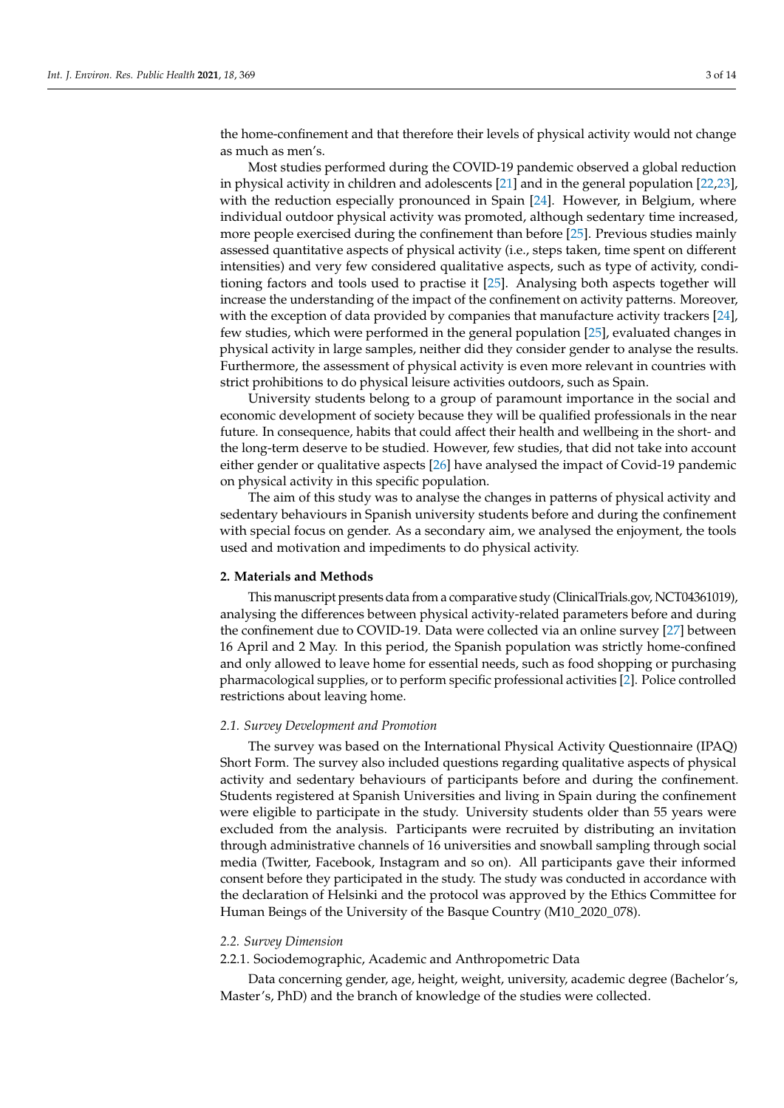the home-confinement and that therefore their levels of physical activity would not change as much as men's.

Most studies performed during the COVID-19 pandemic observed a global reduction in physical activity in children and adolescents [\[21\]](#page-12-8) and in the general population [\[22,](#page-12-9)[23\]](#page-12-10), with the reduction especially pronounced in Spain [\[24\]](#page-12-11). However, in Belgium, where individual outdoor physical activity was promoted, although sedentary time increased, more people exercised during the confinement than before [\[25\]](#page-12-12). Previous studies mainly assessed quantitative aspects of physical activity (i.e., steps taken, time spent on different intensities) and very few considered qualitative aspects, such as type of activity, conditioning factors and tools used to practise it [\[25\]](#page-12-12). Analysing both aspects together will increase the understanding of the impact of the confinement on activity patterns. Moreover, with the exception of data provided by companies that manufacture activity trackers [\[24\]](#page-12-11), few studies, which were performed in the general population [\[25\]](#page-12-12), evaluated changes in physical activity in large samples, neither did they consider gender to analyse the results. Furthermore, the assessment of physical activity is even more relevant in countries with strict prohibitions to do physical leisure activities outdoors, such as Spain.

University students belong to a group of paramount importance in the social and economic development of society because they will be qualified professionals in the near future. In consequence, habits that could affect their health and wellbeing in the short- and the long-term deserve to be studied. However, few studies, that did not take into account either gender or qualitative aspects [\[26\]](#page-12-13) have analysed the impact of Covid-19 pandemic on physical activity in this specific population.

The aim of this study was to analyse the changes in patterns of physical activity and sedentary behaviours in Spanish university students before and during the confinement with special focus on gender. As a secondary aim, we analysed the enjoyment, the tools used and motivation and impediments to do physical activity.

#### **2. Materials and Methods**

This manuscript presents data from a comparative study (ClinicalTrials.gov, NCT04361019), analysing the differences between physical activity-related parameters before and during the confinement due to COVID-19. Data were collected via an online survey [\[27\]](#page-12-14) between 16 April and 2 May. In this period, the Spanish population was strictly home-confined and only allowed to leave home for essential needs, such as food shopping or purchasing pharmacological supplies, or to perform specific professional activities [\[2\]](#page-11-1). Police controlled restrictions about leaving home.

## *2.1. Survey Development and Promotion*

The survey was based on the International Physical Activity Questionnaire (IPAQ) Short Form. The survey also included questions regarding qualitative aspects of physical activity and sedentary behaviours of participants before and during the confinement. Students registered at Spanish Universities and living in Spain during the confinement were eligible to participate in the study. University students older than 55 years were excluded from the analysis. Participants were recruited by distributing an invitation through administrative channels of 16 universities and snowball sampling through social media (Twitter, Facebook, Instagram and so on). All participants gave their informed consent before they participated in the study. The study was conducted in accordance with the declaration of Helsinki and the protocol was approved by the Ethics Committee for Human Beings of the University of the Basque Country (M10\_2020\_078).

# *2.2. Survey Dimension*

# 2.2.1. Sociodemographic, Academic and Anthropometric Data

Data concerning gender, age, height, weight, university, academic degree (Bachelor's, Master's, PhD) and the branch of knowledge of the studies were collected.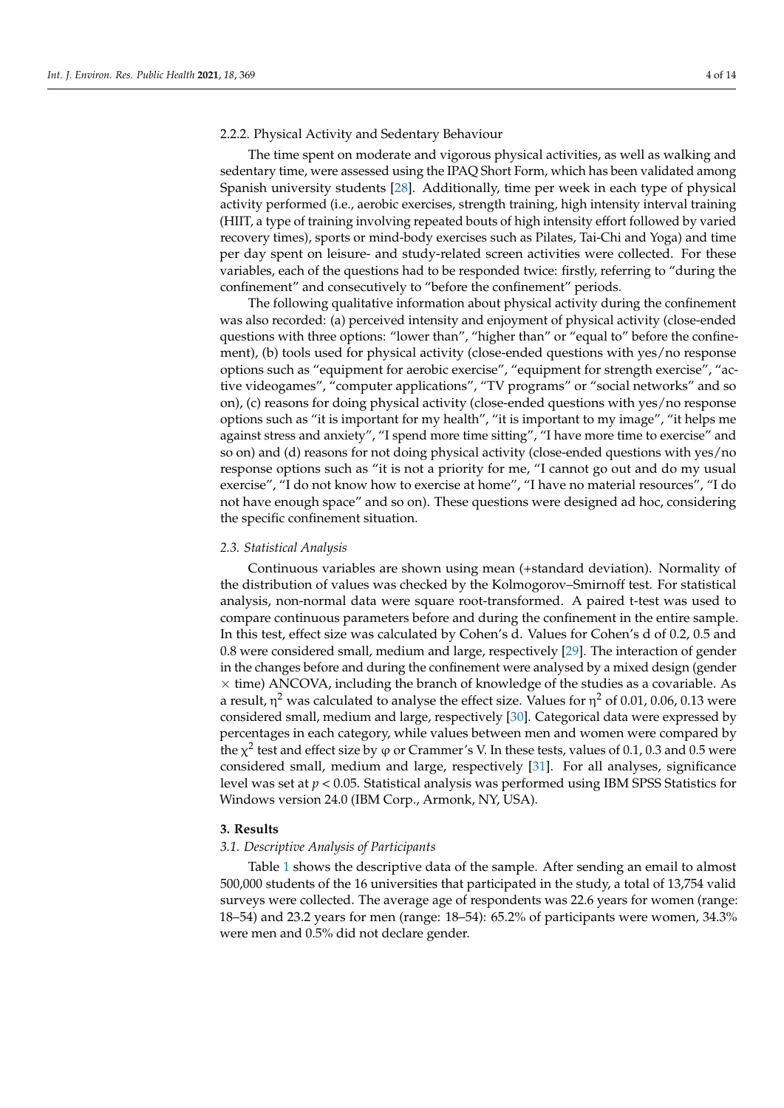# 2.2.2. Physical Activity and Sedentary Behaviour

The time spent on moderate and vigorous physical activities, as well as walking and sedentary time, were assessed using the IPAQ Short Form, which has been validated among Spanish university students [\[28\]](#page-12-15). Additionally, time per week in each type of physical activity performed (i.e., aerobic exercises, strength training, high intensity interval training (HIIT, a type of training involving repeated bouts of high intensity effort followed by varied recovery times), sports or mind-body exercises such as Pilates, Tai-Chi and Yoga) and time per day spent on leisure- and study-related screen activities were collected. For these variables, each of the questions had to be responded twice: firstly, referring to "during the confinement" and consecutively to "before the confinement" periods.

The following qualitative information about physical activity during the confinement was also recorded: (a) perceived intensity and enjoyment of physical activity (close-ended questions with three options: "lower than", "higher than" or "equal to" before the confinement), (b) tools used for physical activity (close-ended questions with yes/no response options such as "equipment for aerobic exercise", "equipment for strength exercise", "active videogames", "computer applications", "TV programs" or "social networks" and so on), (c) reasons for doing physical activity (close-ended questions with yes/no response options such as "it is important for my health", "it is important to my image", "it helps me against stress and anxiety", "I spend more time sitting", "I have more time to exercise" and so on) and (d) reasons for not doing physical activity (close-ended questions with yes/no response options such as "it is not a priority for me, "I cannot go out and do my usual exercise", "I do not know how to exercise at home", "I have no material resources", "I do not have enough space" and so on). These questions were designed ad hoc, considering the specific confinement situation.

#### *2.3. Statistical Analysis*

Continuous variables are shown using mean (+standard deviation). Normality of the distribution of values was checked by the Kolmogorov–Smirnoff test. For statistical analysis, non-normal data were square root-transformed. A paired t-test was used to compare continuous parameters before and during the confinement in the entire sample. In this test, effect size was calculated by Cohen's d. Values for Cohen's d of 0.2, 0.5 and 0.8 were considered small, medium and large, respectively [\[29\]](#page-12-16). The interaction of gender in the changes before and during the confinement were analysed by a mixed design (gender  $\times$  time) ANCOVA, including the branch of knowledge of the studies as a covariable. As a result, η<sup>2</sup> was calculated to analyse the effect size. Values for η<sup>2</sup> of 0.01, 0.06, 0.13 were considered small, medium and large, respectively [\[30\]](#page-12-17). Categorical data were expressed by percentages in each category, while values between men and women were compared by the  $\chi^2$  test and effect size by φ or Crammer's V. In these tests, values of 0.1, 0.3 and 0.5 were considered small, medium and large, respectively [\[31\]](#page-12-18). For all analyses, significance level was set at *p* < 0.05. Statistical analysis was performed using IBM SPSS Statistics for Windows version 24.0 (IBM Corp., Armonk, NY, USA).

#### **3. Results**

#### *3.1. Descriptive Analysis of Participants*

Table [1](#page-4-0) shows the descriptive data of the sample. After sending an email to almost 500,000 students of the 16 universities that participated in the study, a total of 13,754 valid surveys were collected. The average age of respondents was 22.6 years for women (range: 18–54) and 23.2 years for men (range: 18–54): 65.2% of participants were women, 34.3% were men and 0.5% did not declare gender.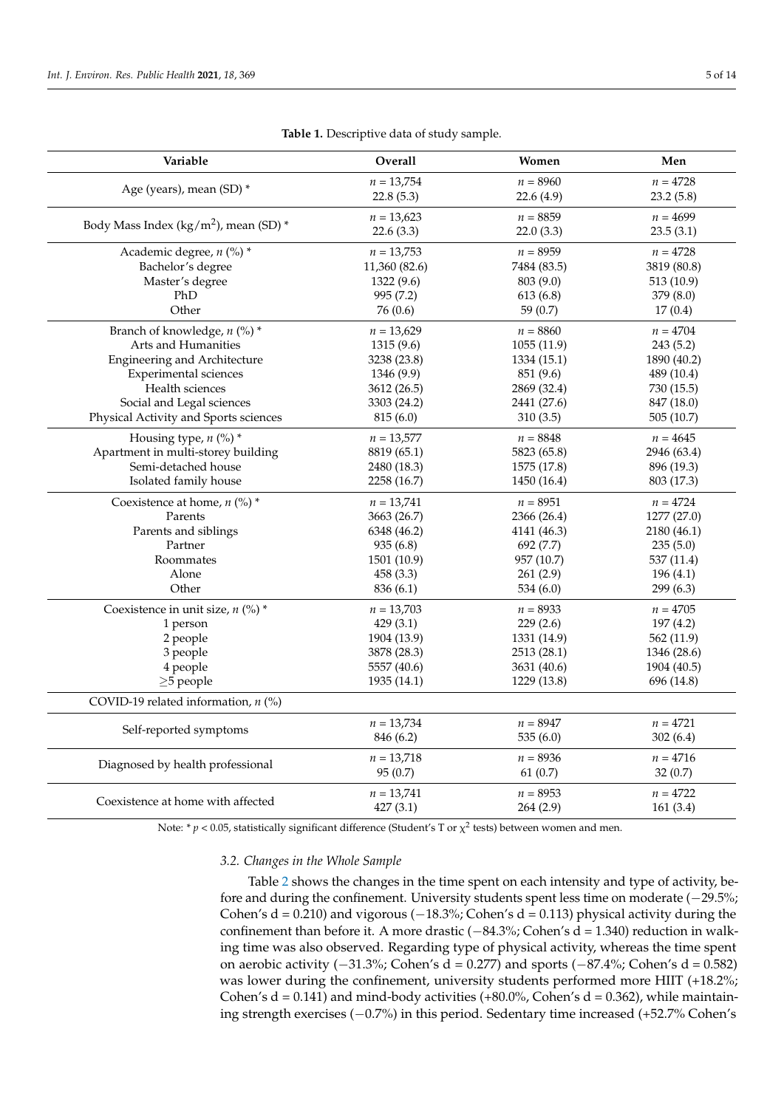<span id="page-4-0"></span>

| Variable                                         | Overall              | Women       | Men         |
|--------------------------------------------------|----------------------|-------------|-------------|
|                                                  | $n = 13,754$         | $n = 8960$  | $n = 4728$  |
| Age (years), mean (SD) *                         | 22.8(5.3)            | 22.6(4.9)   | 23.2(5.8)   |
|                                                  | $n = 13,623$         | $n = 8859$  | $n = 4699$  |
| Body Mass Index ( $\text{kg/m}^2$ ), mean (SD) * | 22.6(3.3)            | 22.0(3.3)   | 23.5(3.1)   |
| Academic degree, $n$ (%) *                       | $n = 13,753$         | $n = 8959$  | $n = 4728$  |
| Bachelor's degree                                | 11,360 (82.6)        | 7484 (83.5) | 3819 (80.8) |
| Master's degree                                  | 1322 (9.6)           | 803 (9.0)   | 513 (10.9)  |
| PhD                                              | 995 (7.2)            | 613(6.8)    | 379(8.0)    |
| Other                                            | 76 (0.6)<br>59 (0.7) |             | 17(0.4)     |
| Branch of knowledge, n (%) *                     | $n = 13,629$         | $n = 8860$  | $n = 4704$  |
| Arts and Humanities                              | 1315 (9.6)           | 1055(11.9)  | 243(5.2)    |
| <b>Engineering and Architecture</b>              | 3238 (23.8)          | 1334 (15.1) | 1890 (40.2) |
| Experimental sciences                            | 1346 (9.9)           | 851 (9.6)   | 489 (10.4)  |
| Health sciences                                  | 3612 (26.5)          | 2869 (32.4) | 730 (15.5)  |
| Social and Legal sciences                        | 3303 (24.2)          | 2441 (27.6) | 847 (18.0)  |
| Physical Activity and Sports sciences            | 815(6.0)             | 310(3.5)    | 505 (10.7)  |
| Housing type, $n$ (%) *                          | $n = 13,577$         | $n = 8848$  | $n = 4645$  |
| Apartment in multi-storey building               | 8819 (65.1)          | 5823 (65.8) | 2946 (63.4) |
| Semi-detached house                              | 2480 (18.3)          | 1575 (17.8) | 896 (19.3)  |
| Isolated family house                            | 2258 (16.7)          | 1450 (16.4) | 803 (17.3)  |
| Coexistence at home, $n$ (%) *                   | $n = 13,741$         | $n = 8951$  | $n = 4724$  |
| Parents                                          | 3663 (26.7)          | 2366 (26.4) | 1277 (27.0) |
| Parents and siblings                             | 6348 (46.2)          | 4141 (46.3) | 2180 (46.1) |
| Partner                                          | 935(6.8)             | 692 (7.7)   | 235(5.0)    |
| Roommates                                        | 1501 (10.9)          | 957 (10.7)  | 537 (11.4)  |
| Alone                                            | 458 (3.3)            | 261(2.9)    | 196(4.1)    |
| Other                                            | 836 (6.1)            | 534 (6.0)   | 299 (6.3)   |
| Coexistence in unit size, $n$ (%) *              | $n = 13,703$         | $n = 8933$  | $n = 4705$  |
| 1 person                                         | 429(3.1)             | 229(2.6)    | 197(4.2)    |
| 2 people                                         | 1904 (13.9)          | 1331 (14.9) | 562 (11.9)  |
| 3 people                                         | 3878 (28.3)          | 2513 (28.1) | 1346 (28.6) |
| 4 people                                         | 5557 (40.6)          | 3631 (40.6) | 1904 (40.5) |
| $\geq$ 5 people                                  | 1935 (14.1)          | 1229 (13.8) | 696 (14.8)  |
| COVID-19 related information, $n$ (%)            |                      |             |             |
|                                                  | $n = 13,734$         | $n = 8947$  | $n = 4721$  |
| Self-reported symptoms                           | 846 (6.2)            | 535(6.0)    | 302(6.4)    |
| Diagnosed by health professional                 | $n = 13,718$         | $n = 8936$  | $n = 4716$  |
|                                                  | 95 (0.7)             | 61(0.7)     | 32(0.7)     |
| Coexistence at home with affected                | $n = 13,741$         | $n = 8953$  | $n = 4722$  |
|                                                  | 427(3.1)             | 264 (2.9)   | 161(3.4)    |

| Table 1. Descriptive data of study sample. |  |  |
|--------------------------------------------|--|--|
|--------------------------------------------|--|--|

Note:  $* p < 0.05$ , statistically significant difference (Student's T or  $\chi^2$  tests) between women and men.

# *3.2. Changes in the Whole Sample*

Table [2](#page-5-0) shows the changes in the time spent on each intensity and type of activity, before and during the confinement. University students spent less time on moderate (−29.5%; Cohen's  $d = 0.210$ ) and vigorous ( $-18.3\%$ ; Cohen's  $d = 0.113$ ) physical activity during the confinement than before it. A more drastic (−84.3%; Cohen's d = 1.340) reduction in walking time was also observed. Regarding type of physical activity, whereas the time spent on aerobic activity ( $-31.3\%$ ; Cohen's d = 0.277) and sports ( $-87.4\%$ ; Cohen's d = 0.582) was lower during the confinement, university students performed more HIIT (+18.2%; Cohen's  $d = 0.141$ ) and mind-body activities (+80.0%, Cohen's  $d = 0.362$ ), while maintaining strength exercises (−0.7%) in this period. Sedentary time increased (+52.7% Cohen's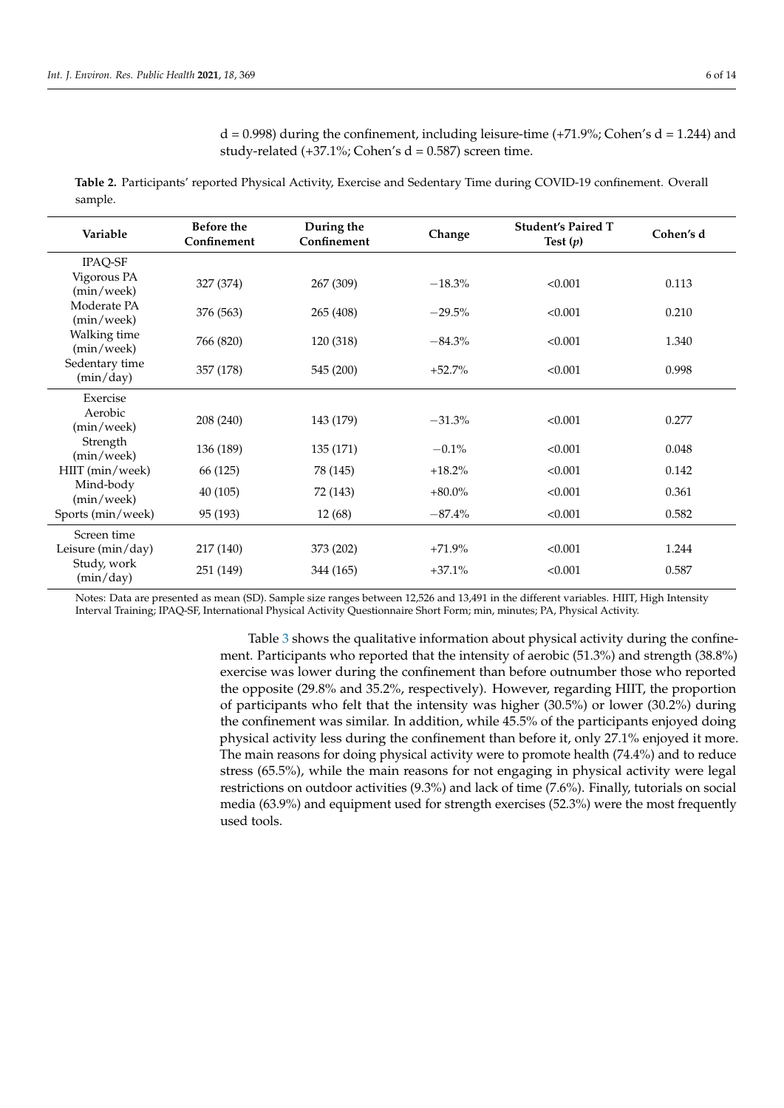$d = 0.998$ ) during the confinement, including leisure-time (+71.9%; Cohen's  $d = 1.244$ ) and study-related  $(+37.1\%; Cohen's d = 0.587)$  screen time.

<span id="page-5-0"></span>**Table 2.** Participants' reported Physical Activity, Exercise and Sedentary Time during COVID-19 confinement. Overall sample.

| Variable                    | <b>Before the</b><br>Confinement | During the<br>Confinement | Change    | <b>Student's Paired T</b><br>Test $(p)$ | Cohen's d |
|-----------------------------|----------------------------------|---------------------------|-----------|-----------------------------------------|-----------|
| IPAQ-SF                     |                                  |                           |           |                                         |           |
| Vigorous PA<br>(min/week)   | 327 (374)                        | 267 (309)                 | $-18.3%$  | < 0.001                                 | 0.113     |
| Moderate PA<br>(min/week)   | 376 (563)                        | 265 (408)                 | $-29.5%$  | < 0.001                                 | 0.210     |
| Walking time<br>(min/week)  | 766 (820)                        | 120 (318)                 | $-84.3%$  | < 0.001                                 | 1.340     |
| Sedentary time<br>(min/day) | 357 (178)                        | 545 (200)                 | $+52.7%$  | < 0.001                                 | 0.998     |
| Exercise                    |                                  |                           |           |                                         |           |
| Aerobic<br>(min/week)       | 208 (240)                        | 143 (179)                 | $-31.3%$  | < 0.001                                 | 0.277     |
| Strength<br>(min/week)      | 136 (189)                        | 135 (171)                 | $-0.1%$   | < 0.001                                 | 0.048     |
| HIIT (min/week)             | 66 (125)                         | 78 (145)                  | $+18.2%$  | < 0.001                                 | 0.142     |
| Mind-body<br>(min/week)     | 40 (105)                         | 72 (143)                  | $+80.0\%$ | < 0.001                                 | 0.361     |
| Sports (min/week)           | 95 (193)                         | 12(68)                    | $-87.4\%$ | < 0.001                                 | 0.582     |
| Screen time                 |                                  |                           |           |                                         |           |
| Leisure (min/day)           | 217 (140)                        | 373 (202)                 | $+71.9%$  | < 0.001                                 | 1.244     |
| Study, work<br>(min/day)    | 251 (149)                        | 344 (165)                 | $+37.1%$  | < 0.001                                 | 0.587     |

Notes: Data are presented as mean (SD). Sample size ranges between 12,526 and 13,491 in the different variables. HIIT, High Intensity Interval Training; IPAQ-SF, International Physical Activity Questionnaire Short Form; min, minutes; PA, Physical Activity.

> Table [3](#page-6-0) shows the qualitative information about physical activity during the confinement. Participants who reported that the intensity of aerobic (51.3%) and strength (38.8%) exercise was lower during the confinement than before outnumber those who reported the opposite (29.8% and 35.2%, respectively). However, regarding HIIT, the proportion of participants who felt that the intensity was higher (30.5%) or lower (30.2%) during the confinement was similar. In addition, while 45.5% of the participants enjoyed doing physical activity less during the confinement than before it, only 27.1% enjoyed it more. The main reasons for doing physical activity were to promote health (74.4%) and to reduce stress (65.5%), while the main reasons for not engaging in physical activity were legal restrictions on outdoor activities (9.3%) and lack of time (7.6%). Finally, tutorials on social media (63.9%) and equipment used for strength exercises (52.3%) were the most frequently used tools.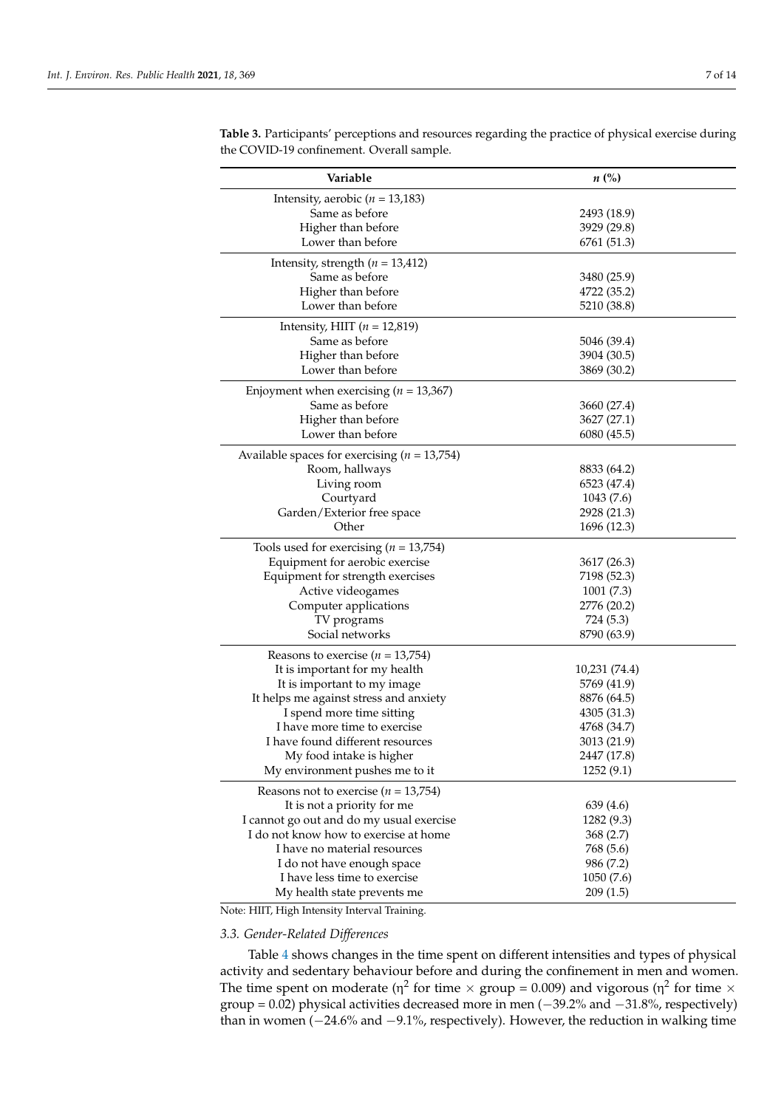| Variable                                         | $n\ (\%)$     |
|--------------------------------------------------|---------------|
| Intensity, aerobic ( $n = 13,183$ )              |               |
| Same as before                                   | 2493 (18.9)   |
| Higher than before                               | 3929 (29.8)   |
| Lower than before                                | 6761 (51.3)   |
| Intensity, strength $(n = 13,412)$               |               |
| Same as before                                   | 3480 (25.9)   |
| Higher than before                               | 4722 (35.2)   |
| Lower than before                                | 5210 (38.8)   |
| Intensity, HIIT $(n = 12,819)$                   |               |
| Same as before                                   | 5046 (39.4)   |
| Higher than before                               | 3904 (30.5)   |
| Lower than before                                | 3869 (30.2)   |
| Enjoyment when exercising ( $n = 13,367$ )       |               |
| Same as before                                   | 3660 (27.4)   |
| Higher than before                               | 3627 (27.1)   |
| Lower than before                                | 6080 (45.5)   |
| Available spaces for exercising ( $n = 13,754$ ) |               |
| Room, hallways                                   | 8833 (64.2)   |
| Living room                                      | 6523 (47.4)   |
| Courtyard                                        | 1043(7.6)     |
| Garden/Exterior free space                       | 2928 (21.3)   |
| Other                                            | 1696 (12.3)   |
| Tools used for exercising ( $n = 13,754$ )       |               |
| Equipment for aerobic exercise                   | 3617 (26.3)   |
| Equipment for strength exercises                 | 7198 (52.3)   |
| Active videogames                                | 1001(7.3)     |
| Computer applications                            | 2776 (20.2)   |
| TV programs                                      | 724 (5.3)     |
| Social networks                                  | 8790 (63.9)   |
| Reasons to exercise ( $n = 13,754$ )             |               |
| It is important for my health                    | 10,231 (74.4) |
| It is important to my image                      | 5769 (41.9)   |
| It helps me against stress and anxiety           | 8876 (64.5)   |
| I spend more time sitting                        | 4305 (31.3)   |
| I have more time to exercise                     | 4768 (34.7)   |
| I have found different resources                 | 3013 (21.9)   |
| My food intake is higher                         | 2447 (17.8)   |
| My environment pushes me to it                   | 1252(9.1)     |
| Reasons not to exercise ( $n = 13,754$ )         |               |
| It is not a priority for me                      | 639 (4.6)     |
| I cannot go out and do my usual exercise         | 1282 (9.3)    |
| I do not know how to exercise at home            | 368(2.7)      |
| I have no material resources                     | 768 (5.6)     |
| I do not have enough space                       | 986 (7.2)     |
| I have less time to exercise                     | 1050(7.6)     |
| My health state prevents me                      | 209(1.5)      |

<span id="page-6-0"></span>**Table 3.** Participants' perceptions and resources regarding the practice of physical exercise during the COVID-19 confinement. Overall sample.

Note: HIIT, High Intensity Interval Training.

# *3.3. Gender-Related Differences*

Table [4](#page-7-0) shows changes in the time spent on different intensities and types of physical activity and sedentary behaviour before and during the confinement in men and women. The time spent on moderate ( $\eta^2$  for time  $\times$  group = 0.009) and vigorous ( $\eta^2$  for time  $\times$ group = 0.02) physical activities decreased more in men (−39.2% and −31.8%, respectively) than in women (−24.6% and −9.1%, respectively). However, the reduction in walking time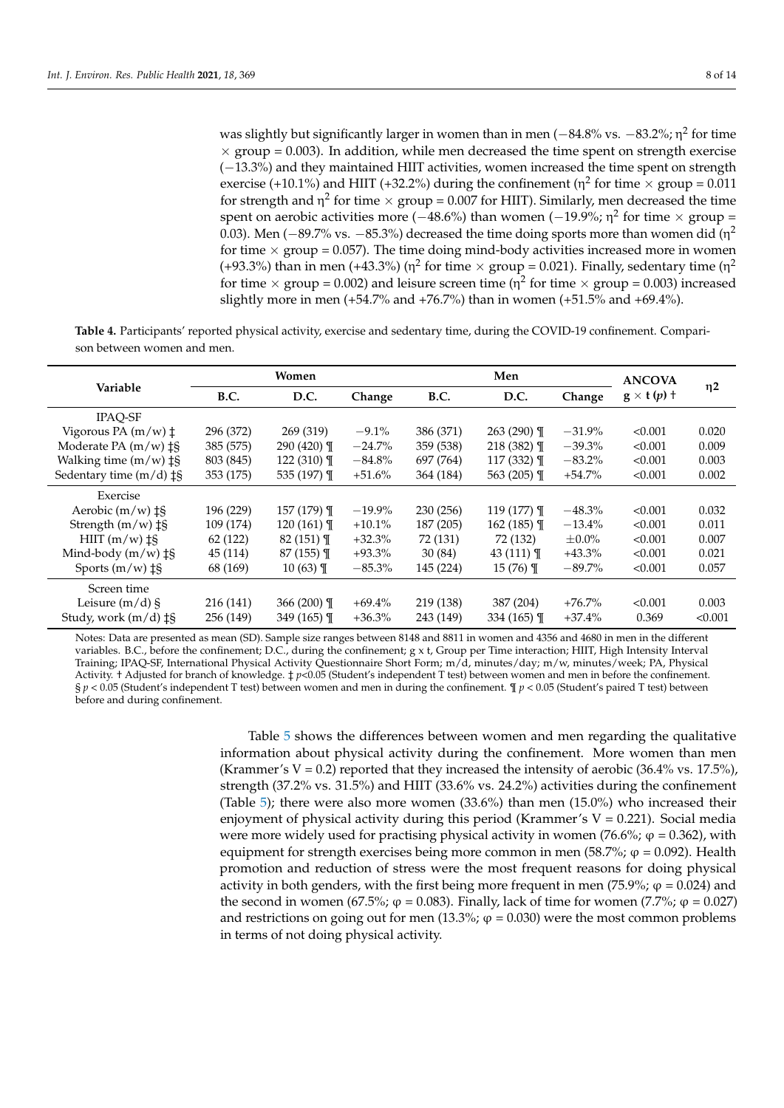was slightly but significantly larger in women than in men ( $-84.8\%$  vs.  $-83.2\%$ ;  $\eta^2$  for time  $\times$  group = 0.003). In addition, while men decreased the time spent on strength exercise (−13.3%) and they maintained HIIT activities, women increased the time spent on strength exercise (+10.1%) and HIIT (+32.2%) during the confinement ( $\eta^2$  for time  $\times$  group = 0.011 for strength and  $\eta^2$  for time  $\times$  group = 0.007 for HIIT). Similarly, men decreased the time spent on aerobic activities more (-48.6%) than women (-19.9%; η<sup>2</sup> for time × group = 0.03). Men ( $-89.7\%$  vs.  $-85.3\%$ ) decreased the time doing sports more than women did (n<sup>2</sup> for time  $\times$  group = 0.057). The time doing mind-body activities increased more in women (+93.3%) than in men (+43.3%) ( $\eta^2$  for time  $\times$  group = 0.021). Finally, sedentary time ( $\eta^2$ for time  $\times$  group = 0.002) and leisure screen time ( $\eta^2$  for time  $\times$  group = 0.003) increased slightly more in men (+54.7% and +76.7%) than in women (+51.5% and +69.4%).

<span id="page-7-0"></span>**Table 4.** Participants' reported physical activity, exercise and sedentary time, during the COVID-19 confinement. Comparison between women and men.

|                                     | Women       |                | Men       |             |               | <b>ANCOVA</b> |                   |          |
|-------------------------------------|-------------|----------------|-----------|-------------|---------------|---------------|-------------------|----------|
| Variable                            | <b>B.C.</b> | D.C.           | Change    | <b>B.C.</b> | D.C.          | Change        | $g \times t(p)$ † | $\eta$ 2 |
| <b>IPAO-SF</b>                      |             |                |           |             |               |               |                   |          |
| Vigorous PA $(m/w)$ $\ddagger$      | 296 (372)   | 269 (319)      | $-9.1\%$  | 386 (371)   | $263(290)$ T  | $-31.9\%$     | < 0.001           | 0.020    |
| Moderate PA $(m/w)$ $\ddagger$ §    | 385 (575)   | $290(420)$ T   | $-24.7\%$ | 359 (538)   | $218(382)$ T  | $-39.3\%$     | < 0.001           | 0.009    |
| Walking time $(m/w)$ ‡§             | 803 (845)   | 122 $(310)$ T  | $-84.8\%$ | 697 (764)   | 117 $(332)$ T | $-83.2\%$     | < 0.001           | 0.003    |
| Sedentary time $(m/d)$ $\ddagger$ § | 353 (175)   | 535 (197) $\P$ | $+51.6%$  | 364 (184)   | 563 $(205)$ T | $+54.7%$      | < 0.001           | 0.002    |
| Exercise                            |             |                |           |             |               |               |                   |          |
| Aerobic $(m/w)$ $\ddagger$ §        | 196 (229)   | $157(179)$ T   | $-19.9\%$ | 230 (256)   | $119(177)$ T  | $-48.3\%$     | < 0.001           | 0.032    |
| Strength $(m/w)$ $\ddagger$ §       | 109 (174)   | 120 $(161)$ T  | $+10.1%$  | 187 (205)   | 162 $(185)$ T | $-13.4\%$     | < 0.001           | 0.011    |
| $HIII (m/w) \ddagger$               | 62 (122)    | 82 (151) T     | $+32.3%$  | 72 (131)    | 72 (132)      | $\pm 0.0\%$   | < 0.001           | 0.007    |
| Mind-body $(m/w)$ $\ddagger$ §      | 45 (114)    | $87(155)$ T    | $+93.3\%$ | 30(84)      | 43 $(111)$ T  | $+43.3\%$     | < 0.001           | 0.021    |
| Sports $(m/w)$ $\ddagger$ §         | 68 (169)    | $10(63)$ T     | $-85.3\%$ | 145 (224)   | $15(76)$ T    | $-89.7%$      | < 0.001           | 0.057    |
| Screen time                         |             |                |           |             |               |               |                   |          |
| Leisure $(m/d)$ §                   | 216 (141)   | 366 $(200)$ ¶  | $+69.4\%$ | 219 (138)   | 387 (204)     | $+76.7\%$     | < 0.001           | 0.003    |
| Study, work $(m/d)$ $\ddagger$ §    | 256 (149)   | 349 $(165)$ T  | $+36.3\%$ | 243 (149)   | 334 $(165)$ T | $+37.4\%$     | 0.369             | < 0.001  |

Notes: Data are presented as mean (SD). Sample size ranges between 8148 and 8811 in women and 4356 and 4680 in men in the different variables. B.C., before the confinement; D.C., during the confinement; g x t, Group per Time interaction; HIIT, High Intensity Interval Training; IPAQ-SF, International Physical Activity Questionnaire Short Form; m/d, minutes/day; m/w, minutes/week; PA, Physical Activity. † Adjusted for branch of knowledge. ‡ *p*<0.05 (Student's independent T test) between women and men in before the confinement. § *p* < 0.05 (Student's independent T test) between women and men in during the confinement. ¶ *p* < 0.05 (Student's paired T test) between before and during confinement.

> Table [5](#page-8-0) shows the differences between women and men regarding the qualitative information about physical activity during the confinement. More women than men (Krammer's V = 0.2) reported that they increased the intensity of aerobic  $(36.4\% \text{ vs. } 17.5\%)$ , strength (37.2% vs. 31.5%) and HIIT (33.6% vs. 24.2%) activities during the confinement (Table [5\)](#page-8-0); there were also more women  $(33.6%)$  than men  $(15.0%)$  who increased their enjoyment of physical activity during this period (Krammer's  $V = 0.221$ ). Social media were more widely used for practising physical activity in women (76.6%;  $\varphi$  = 0.362), with equipment for strength exercises being more common in men (58.7%;  $\varphi$  = 0.092). Health promotion and reduction of stress were the most frequent reasons for doing physical activity in both genders, with the first being more frequent in men (75.9%;  $\varphi$  = 0.024) and the second in women (67.5%;  $\varphi$  = 0.083). Finally, lack of time for women (7.7%;  $\varphi$  = 0.027) and restrictions on going out for men (13.3%;  $\varphi = 0.030$ ) were the most common problems in terms of not doing physical activity.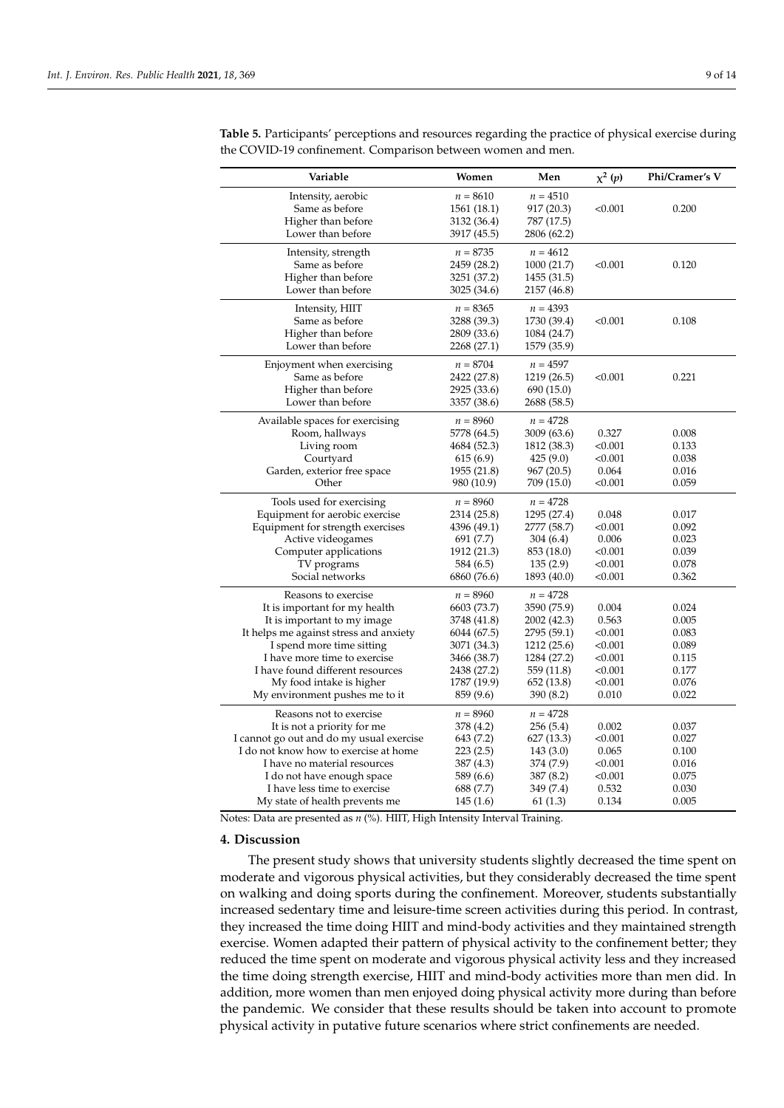| Variable                                 | Women       | Men         | $\chi^2(p)$ | Phi/Cramer's V |
|------------------------------------------|-------------|-------------|-------------|----------------|
| Intensity, aerobic                       | $n = 8610$  | $n = 4510$  |             |                |
| Same as before                           | 1561 (18.1) | 917 (20.3)  | < 0.001     | 0.200          |
| Higher than before                       | 3132 (36.4) | 787 (17.5)  |             |                |
| Lower than before                        | 3917 (45.5) | 2806 (62.2) |             |                |
| Intensity, strength                      | $n = 8735$  | $n = 4612$  |             |                |
| Same as before                           | 2459 (28.2) | 1000(21.7)  | < 0.001     | 0.120          |
| Higher than before                       | 3251 (37.2) | 1455 (31.5) |             |                |
| Lower than before                        | 3025 (34.6) | 2157 (46.8) |             |                |
| Intensity, HIIT                          | $n = 8365$  | $n = 4393$  |             |                |
| Same as before                           | 3288 (39.3) | 1730 (39.4) | < 0.001     | 0.108          |
| Higher than before                       | 2809 (33.6) | 1084 (24.7) |             |                |
| Lower than before                        | 2268 (27.1) | 1579 (35.9) |             |                |
| Enjoyment when exercising                | $n=8704$    | $n = 4597$  |             |                |
| Same as before                           | 2422 (27.8) | 1219 (26.5) | < 0.001     | 0.221          |
| Higher than before                       | 2925 (33.6) | 690 (15.0)  |             |                |
| Lower than before                        | 3357 (38.6) | 2688 (58.5) |             |                |
| Available spaces for exercising          | $n = 8960$  | $n = 4728$  |             |                |
| Room, hallways                           | 5778 (64.5) | 3009 (63.6) | 0.327       | 0.008          |
| Living room                              | 4684 (52.3) | 1812 (38.3) | < 0.001     | 0.133          |
| Courtyard                                | 615(6.9)    | 425(9.0)    | < 0.001     | 0.038          |
| Garden, exterior free space              | 1955 (21.8) | 967(20.5)   | 0.064       | 0.016          |
| Other                                    | 980 (10.9)  | 709 (15.0)  | < 0.001     | 0.059          |
| Tools used for exercising                | $n = 8960$  | $n = 4728$  |             |                |
| Equipment for aerobic exercise           | 2314 (25.8) | 1295 (27.4) | 0.048       | 0.017          |
| Equipment for strength exercises         | 4396 (49.1) | 2777 (58.7) | < 0.001     | 0.092          |
| Active videogames                        | 691 (7.7)   | 304 (6.4)   | 0.006       | 0.023          |
| Computer applications                    | 1912 (21.3) | 853 (18.0)  | < 0.001     | 0.039          |
| TV programs                              | 584 (6.5)   | 135(2.9)    | < 0.001     | 0.078          |
| Social networks                          | 6860 (76.6) | 1893 (40.0) | < 0.001     | 0.362          |
| Reasons to exercise                      | $n = 8960$  | $n = 4728$  |             |                |
| It is important for my health            | 6603 (73.7) | 3590 (75.9) | 0.004       | 0.024          |
| It is important to my image              | 3748 (41.8) | 2002 (42.3) | 0.563       | 0.005          |
| It helps me against stress and anxiety   | 6044 (67.5) | 2795 (59.1) | < 0.001     | 0.083          |
| I spend more time sitting                | 3071 (34.3) | 1212 (25.6) | < 0.001     | 0.089          |
| I have more time to exercise             | 3466 (38.7) | 1284 (27.2) | < 0.001     | 0.115          |
| I have found different resources         | 2438 (27.2) | 559 (11.8)  | < 0.001     | 0.177          |
| My food intake is higher                 | 1787 (19.9) | 652 (13.8)  | < 0.001     | 0.076          |
| My environment pushes me to it           | 859 (9.6)   | 390 (8.2)   | 0.010       | 0.022          |
| Reasons not to exercise                  | $n = 8960$  | $n = 4728$  |             |                |
| It is not a priority for me              | 378 (4.2)   | 256(5.4)    | 0.002       | 0.037          |
| I cannot go out and do my usual exercise | 643 (7.2)   | 627 (13.3)  | < 0.001     | 0.027          |
| I do not know how to exercise at home    | 223(2.5)    | 143(3.0)    | 0.065       | 0.100          |
| I have no material resources             | 387 (4.3)   | 374 (7.9)   | < 0.001     | 0.016          |
| I do not have enough space               | 589 (6.6)   | 387 (8.2)   | < 0.001     | 0.075          |
| I have less time to exercise             | 688 (7.7)   | 349 (7.4)   | 0.532       | 0.030          |
| My state of health prevents me           | 145(1.6)    | 61(1.3)     | 0.134       | 0.005          |

<span id="page-8-0"></span>**Table 5.** Participants' perceptions and resources regarding the practice of physical exercise during the COVID-19 confinement. Comparison between women and men.

Notes: Data are presented as *n* (%). HIIT, High Intensity Interval Training.

## **4. Discussion**

The present study shows that university students slightly decreased the time spent on moderate and vigorous physical activities, but they considerably decreased the time spent on walking and doing sports during the confinement. Moreover, students substantially increased sedentary time and leisure-time screen activities during this period. In contrast, they increased the time doing HIIT and mind-body activities and they maintained strength exercise. Women adapted their pattern of physical activity to the confinement better; they reduced the time spent on moderate and vigorous physical activity less and they increased the time doing strength exercise, HIIT and mind-body activities more than men did. In addition, more women than men enjoyed doing physical activity more during than before the pandemic. We consider that these results should be taken into account to promote physical activity in putative future scenarios where strict confinements are needed.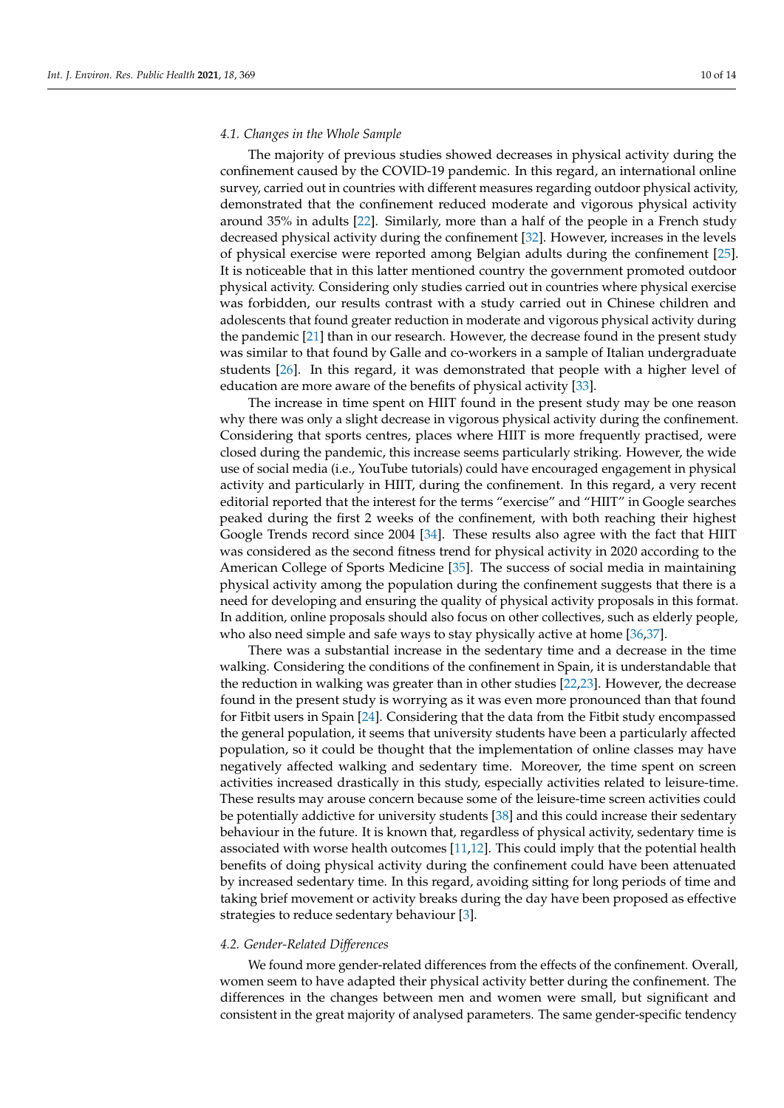## *4.1. Changes in the Whole Sample*

The majority of previous studies showed decreases in physical activity during the confinement caused by the COVID-19 pandemic. In this regard, an international online survey, carried out in countries with different measures regarding outdoor physical activity, demonstrated that the confinement reduced moderate and vigorous physical activity around 35% in adults [\[22\]](#page-12-9). Similarly, more than a half of the people in a French study decreased physical activity during the confinement [\[32\]](#page-12-19). However, increases in the levels of physical exercise were reported among Belgian adults during the confinement [\[25\]](#page-12-12). It is noticeable that in this latter mentioned country the government promoted outdoor physical activity. Considering only studies carried out in countries where physical exercise was forbidden, our results contrast with a study carried out in Chinese children and adolescents that found greater reduction in moderate and vigorous physical activity during the pandemic [\[21\]](#page-12-8) than in our research. However, the decrease found in the present study was similar to that found by Galle and co-workers in a sample of Italian undergraduate students [\[26\]](#page-12-13). In this regard, it was demonstrated that people with a higher level of education are more aware of the benefits of physical activity [\[33\]](#page-12-20).

The increase in time spent on HIIT found in the present study may be one reason why there was only a slight decrease in vigorous physical activity during the confinement. Considering that sports centres, places where HIIT is more frequently practised, were closed during the pandemic, this increase seems particularly striking. However, the wide use of social media (i.e., YouTube tutorials) could have encouraged engagement in physical activity and particularly in HIIT, during the confinement. In this regard, a very recent editorial reported that the interest for the terms "exercise" and "HIIT" in Google searches peaked during the first 2 weeks of the confinement, with both reaching their highest Google Trends record since 2004 [\[34\]](#page-12-21). These results also agree with the fact that HIIT was considered as the second fitness trend for physical activity in 2020 according to the American College of Sports Medicine [\[35\]](#page-12-22). The success of social media in maintaining physical activity among the population during the confinement suggests that there is a need for developing and ensuring the quality of physical activity proposals in this format. In addition, online proposals should also focus on other collectives, such as elderly people, who also need simple and safe ways to stay physically active at home [\[36,](#page-12-23)[37\]](#page-12-24).

There was a substantial increase in the sedentary time and a decrease in the time walking. Considering the conditions of the confinement in Spain, it is understandable that the reduction in walking was greater than in other studies [\[22](#page-12-9)[,23\]](#page-12-10). However, the decrease found in the present study is worrying as it was even more pronounced than that found for Fitbit users in Spain [\[24\]](#page-12-11). Considering that the data from the Fitbit study encompassed the general population, it seems that university students have been a particularly affected population, so it could be thought that the implementation of online classes may have negatively affected walking and sedentary time. Moreover, the time spent on screen activities increased drastically in this study, especially activities related to leisure-time. These results may arouse concern because some of the leisure-time screen activities could be potentially addictive for university students [\[38\]](#page-12-25) and this could increase their sedentary behaviour in the future. It is known that, regardless of physical activity, sedentary time is associated with worse health outcomes [\[11,](#page-11-10)[12\]](#page-11-11). This could imply that the potential health benefits of doing physical activity during the confinement could have been attenuated by increased sedentary time. In this regard, avoiding sitting for long periods of time and taking brief movement or activity breaks during the day have been proposed as effective strategies to reduce sedentary behaviour [\[3\]](#page-11-2).

# *4.2. Gender-Related Differences*

We found more gender-related differences from the effects of the confinement. Overall, women seem to have adapted their physical activity better during the confinement. The differences in the changes between men and women were small, but significant and consistent in the great majority of analysed parameters. The same gender-specific tendency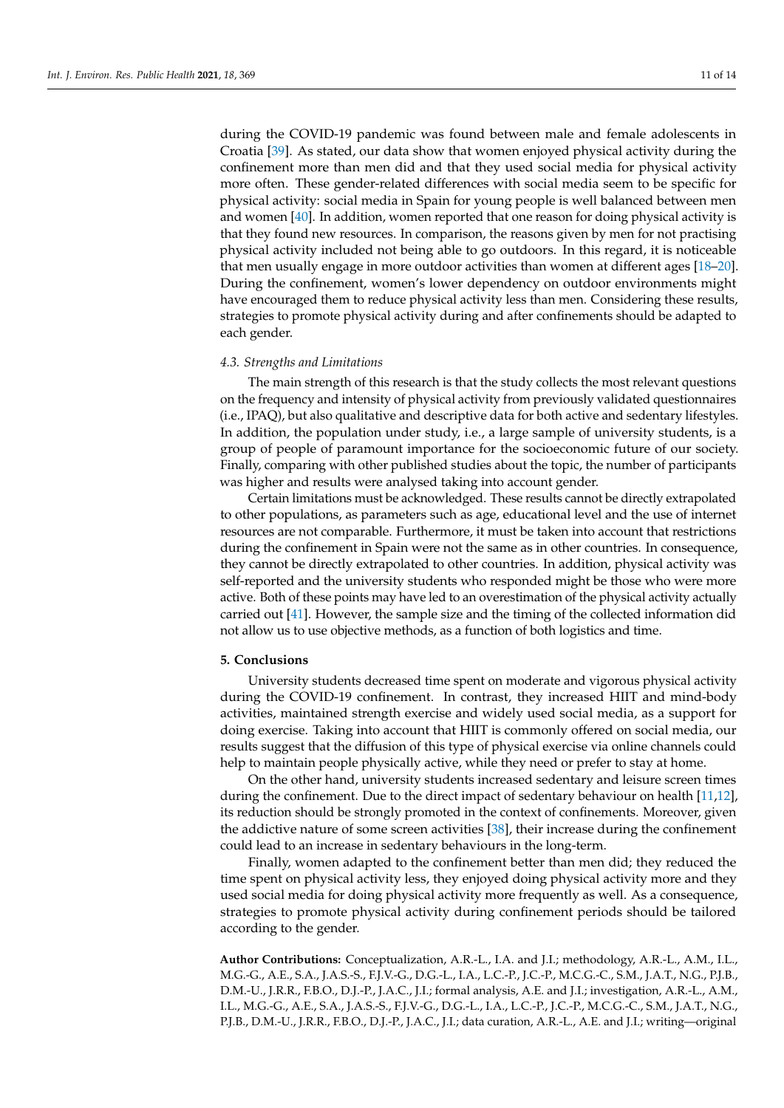during the COVID-19 pandemic was found between male and female adolescents in Croatia [\[39\]](#page-13-0). As stated, our data show that women enjoyed physical activity during the confinement more than men did and that they used social media for physical activity more often. These gender-related differences with social media seem to be specific for physical activity: social media in Spain for young people is well balanced between men and women [\[40\]](#page-13-1). In addition, women reported that one reason for doing physical activity is that they found new resources. In comparison, the reasons given by men for not practising physical activity included not being able to go outdoors. In this regard, it is noticeable that men usually engage in more outdoor activities than women at different ages [\[18](#page-12-5)[–20\]](#page-12-7). During the confinement, women's lower dependency on outdoor environments might have encouraged them to reduce physical activity less than men. Considering these results, strategies to promote physical activity during and after confinements should be adapted to each gender.

#### *4.3. Strengths and Limitations*

The main strength of this research is that the study collects the most relevant questions on the frequency and intensity of physical activity from previously validated questionnaires (i.e., IPAQ), but also qualitative and descriptive data for both active and sedentary lifestyles. In addition, the population under study, i.e., a large sample of university students, is a group of people of paramount importance for the socioeconomic future of our society. Finally, comparing with other published studies about the topic, the number of participants was higher and results were analysed taking into account gender.

Certain limitations must be acknowledged. These results cannot be directly extrapolated to other populations, as parameters such as age, educational level and the use of internet resources are not comparable. Furthermore, it must be taken into account that restrictions during the confinement in Spain were not the same as in other countries. In consequence, they cannot be directly extrapolated to other countries. In addition, physical activity was self-reported and the university students who responded might be those who were more active. Both of these points may have led to an overestimation of the physical activity actually carried out [\[41\]](#page-13-2). However, the sample size and the timing of the collected information did not allow us to use objective methods, as a function of both logistics and time.

#### **5. Conclusions**

University students decreased time spent on moderate and vigorous physical activity during the COVID-19 confinement. In contrast, they increased HIIT and mind-body activities, maintained strength exercise and widely used social media, as a support for doing exercise. Taking into account that HIIT is commonly offered on social media, our results suggest that the diffusion of this type of physical exercise via online channels could help to maintain people physically active, while they need or prefer to stay at home.

On the other hand, university students increased sedentary and leisure screen times during the confinement. Due to the direct impact of sedentary behaviour on health [\[11](#page-11-10)[,12\]](#page-11-11), its reduction should be strongly promoted in the context of confinements. Moreover, given the addictive nature of some screen activities [\[38\]](#page-12-25), their increase during the confinement could lead to an increase in sedentary behaviours in the long-term.

Finally, women adapted to the confinement better than men did; they reduced the time spent on physical activity less, they enjoyed doing physical activity more and they used social media for doing physical activity more frequently as well. As a consequence, strategies to promote physical activity during confinement periods should be tailored according to the gender.

**Author Contributions:** Conceptualization, A.R.-L., I.A. and J.I.; methodology, A.R.-L., A.M., I.L., M.G.-G., A.E., S.A., J.A.S.-S., F.J.V.-G., D.G.-L., I.A., L.C.-P., J.C.-P., M.C.G.-C., S.M., J.A.T., N.G., P.J.B., D.M.-U., J.R.R., F.B.O., D.J.-P., J.A.C., J.I.; formal analysis, A.E. and J.I.; investigation, A.R.-L., A.M., I.L., M.G.-G., A.E., S.A., J.A.S.-S., F.J.V.-G., D.G.-L., I.A., L.C.-P., J.C.-P., M.C.G.-C., S.M., J.A.T., N.G., P.J.B., D.M.-U., J.R.R., F.B.O., D.J.-P., J.A.C., J.I.; data curation, A.R.-L., A.E. and J.I.; writing—original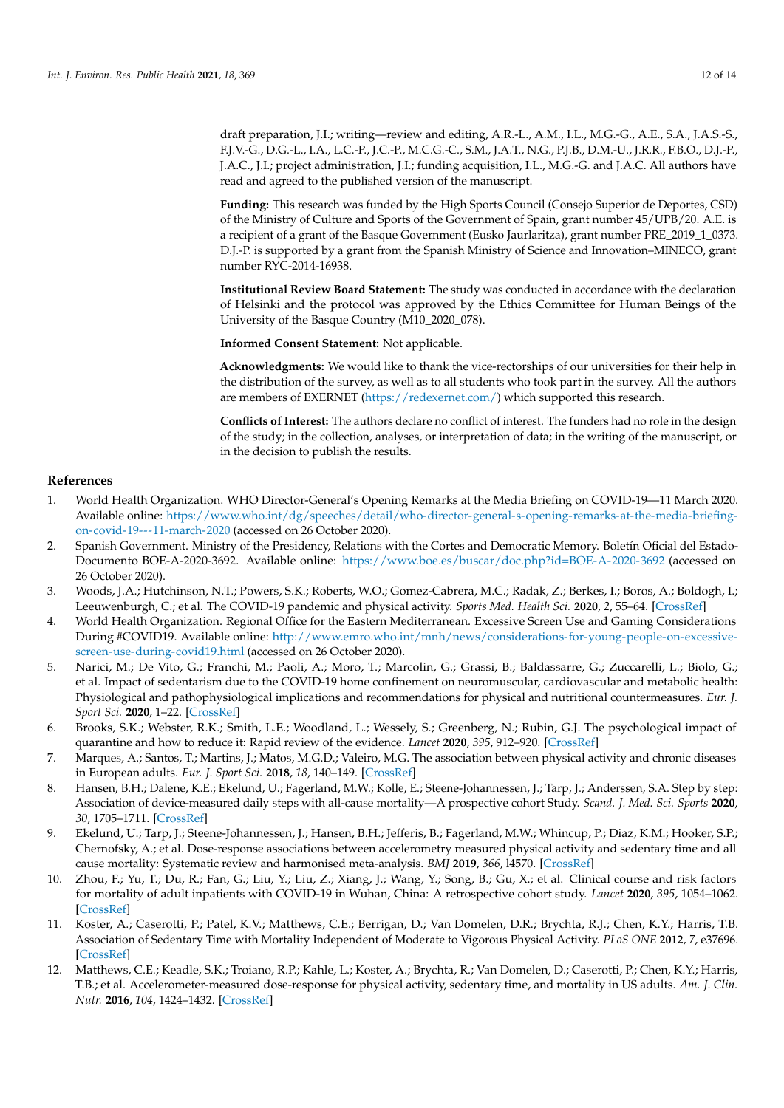draft preparation, J.I.; writing—review and editing, A.R.-L., A.M., I.L., M.G.-G., A.E., S.A., J.A.S.-S., F.J.V.-G., D.G.-L., I.A., L.C.-P., J.C.-P., M.C.G.-C., S.M., J.A.T., N.G., P.J.B., D.M.-U., J.R.R., F.B.O., D.J.-P., J.A.C., J.I.; project administration, J.I.; funding acquisition, I.L., M.G.-G. and J.A.C. All authors have read and agreed to the published version of the manuscript.

**Funding:** This research was funded by the High Sports Council (Consejo Superior de Deportes, CSD) of the Ministry of Culture and Sports of the Government of Spain, grant number 45/UPB/20. A.E. is a recipient of a grant of the Basque Government (Eusko Jaurlaritza), grant number PRE\_2019\_1\_0373. D.J.-P. is supported by a grant from the Spanish Ministry of Science and Innovation–MINECO, grant number RYC-2014-16938.

**Institutional Review Board Statement:** The study was conducted in accordance with the declaration of Helsinki and the protocol was approved by the Ethics Committee for Human Beings of the University of the Basque Country (M10\_2020\_078).

**Informed Consent Statement:** Not applicable.

**Acknowledgments:** We would like to thank the vice-rectorships of our universities for their help in the distribution of the survey, as well as to all students who took part in the survey. All the authors are members of EXERNET [\(https://redexernet.com/\)](https://redexernet.com/) which supported this research.

**Conflicts of Interest:** The authors declare no conflict of interest. The funders had no role in the design of the study; in the collection, analyses, or interpretation of data; in the writing of the manuscript, or in the decision to publish the results.

## **References**

- <span id="page-11-0"></span>1. World Health Organization. WHO Director-General's Opening Remarks at the Media Briefing on COVID-19—11 March 2020. Available online: [https://www.who.int/dg/speeches/detail/who-director-general-s-opening-remarks-at-the-media-briefing](https://www.who.int/dg/speeches/detail/who-director-general-s-opening-remarks-at-the-media-briefing-on-covid-19---11-march-2020)[on-covid-19---11-march-2020](https://www.who.int/dg/speeches/detail/who-director-general-s-opening-remarks-at-the-media-briefing-on-covid-19---11-march-2020) (accessed on 26 October 2020).
- <span id="page-11-1"></span>2. Spanish Government. Ministry of the Presidency, Relations with the Cortes and Democratic Memory. Boletín Oficial del Estado-Documento BOE-A-2020-3692. Available online: <https://www.boe.es/buscar/doc.php?id=BOE-A-2020-3692> (accessed on 26 October 2020).
- <span id="page-11-2"></span>3. Woods, J.A.; Hutchinson, N.T.; Powers, S.K.; Roberts, W.O.; Gomez-Cabrera, M.C.; Radak, Z.; Berkes, I.; Boros, A.; Boldogh, I.; Leeuwenburgh, C.; et al. The COVID-19 pandemic and physical activity. *Sports Med. Health Sci.* **2020**, *2*, 55–64. [\[CrossRef\]](http://doi.org/10.1016/j.smhs.2020.05.006)
- <span id="page-11-3"></span>4. World Health Organization. Regional Office for the Eastern Mediterranean. Excessive Screen Use and Gaming Considerations During #COVID19. Available online: [http://www.emro.who.int/mnh/news/considerations-for-young-people-on-excessive](http://www.emro.who.int/mnh/news/considerations-for-young-people-on-excessive-screen-use-during-covid19.html)[screen-use-during-covid19.html](http://www.emro.who.int/mnh/news/considerations-for-young-people-on-excessive-screen-use-during-covid19.html) (accessed on 26 October 2020).
- <span id="page-11-4"></span>5. Narici, M.; De Vito, G.; Franchi, M.; Paoli, A.; Moro, T.; Marcolin, G.; Grassi, B.; Baldassarre, G.; Zuccarelli, L.; Biolo, G.; et al. Impact of sedentarism due to the COVID-19 home confinement on neuromuscular, cardiovascular and metabolic health: Physiological and pathophysiological implications and recommendations for physical and nutritional countermeasures. *Eur. J. Sport Sci.* **2020**, 1–22. [\[CrossRef\]](http://doi.org/10.1080/17461391.2020.1761076)
- <span id="page-11-5"></span>6. Brooks, S.K.; Webster, R.K.; Smith, L.E.; Woodland, L.; Wessely, S.; Greenberg, N.; Rubin, G.J. The psychological impact of quarantine and how to reduce it: Rapid review of the evidence. *Lancet* **2020**, *395*, 912–920. [\[CrossRef\]](http://doi.org/10.1016/S0140-6736(20)30460-8)
- <span id="page-11-6"></span>7. Marques, A.; Santos, T.; Martins, J.; Matos, M.G.D.; Valeiro, M.G. The association between physical activity and chronic diseases in European adults. *Eur. J. Sport Sci.* **2018**, *18*, 140–149. [\[CrossRef\]](http://doi.org/10.1080/17461391.2017.1400109)
- <span id="page-11-7"></span>8. Hansen, B.H.; Dalene, K.E.; Ekelund, U.; Fagerland, M.W.; Kolle, E.; Steene-Johannessen, J.; Tarp, J.; Anderssen, S.A. Step by step: Association of device-measured daily steps with all-cause mortality—A prospective cohort Study. *Scand. J. Med. Sci. Sports* **2020**, *30*, 1705–1711. [\[CrossRef\]](http://doi.org/10.1111/sms.13726)
- <span id="page-11-8"></span>9. Ekelund, U.; Tarp, J.; Steene-Johannessen, J.; Hansen, B.H.; Jefferis, B.; Fagerland, M.W.; Whincup, P.; Diaz, K.M.; Hooker, S.P.; Chernofsky, A.; et al. Dose-response associations between accelerometry measured physical activity and sedentary time and all cause mortality: Systematic review and harmonised meta-analysis. *BMJ* **2019**, *366*, l4570. [\[CrossRef\]](http://doi.org/10.1136/bmj.l4570)
- <span id="page-11-9"></span>10. Zhou, F.; Yu, T.; Du, R.; Fan, G.; Liu, Y.; Liu, Z.; Xiang, J.; Wang, Y.; Song, B.; Gu, X.; et al. Clinical course and risk factors for mortality of adult inpatients with COVID-19 in Wuhan, China: A retrospective cohort study. *Lancet* **2020**, *395*, 1054–1062. [\[CrossRef\]](http://doi.org/10.1016/S0140-6736(20)30566-3)
- <span id="page-11-10"></span>11. Koster, A.; Caserotti, P.; Patel, K.V.; Matthews, C.E.; Berrigan, D.; Van Domelen, D.R.; Brychta, R.J.; Chen, K.Y.; Harris, T.B. Association of Sedentary Time with Mortality Independent of Moderate to Vigorous Physical Activity. *PLoS ONE* **2012**, *7*, e37696. [\[CrossRef\]](http://doi.org/10.1371/journal.pone.0037696)
- <span id="page-11-11"></span>12. Matthews, C.E.; Keadle, S.K.; Troiano, R.P.; Kahle, L.; Koster, A.; Brychta, R.; Van Domelen, D.; Caserotti, P.; Chen, K.Y.; Harris, T.B.; et al. Accelerometer-measured dose-response for physical activity, sedentary time, and mortality in US adults. *Am. J. Clin. Nutr.* **2016**, *104*, 1424–1432. [\[CrossRef\]](http://doi.org/10.3945/ajcn.116.135129)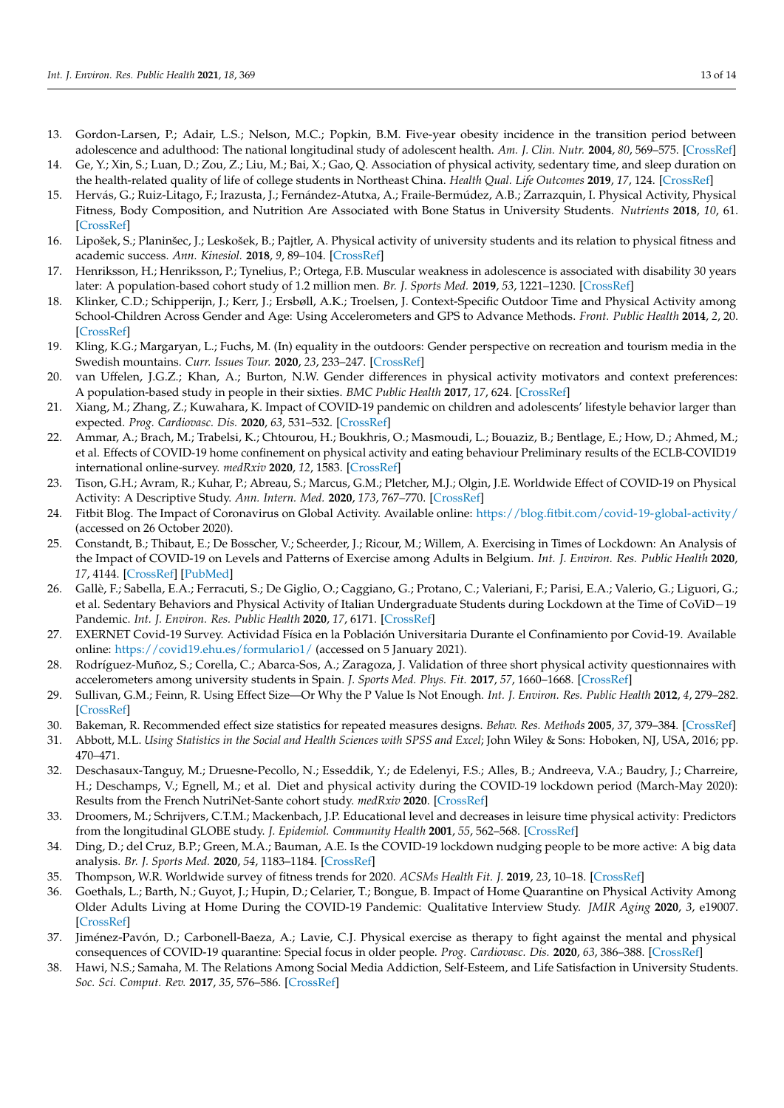- <span id="page-12-0"></span>13. Gordon-Larsen, P.; Adair, L.S.; Nelson, M.C.; Popkin, B.M. Five-year obesity incidence in the transition period between adolescence and adulthood: The national longitudinal study of adolescent health. *Am. J. Clin. Nutr.* **2004**, *80*, 569–575. [\[CrossRef\]](http://doi.org/10.1093/ajcn/80.3.569)
- <span id="page-12-1"></span>14. Ge, Y.; Xin, S.; Luan, D.; Zou, Z.; Liu, M.; Bai, X.; Gao, Q. Association of physical activity, sedentary time, and sleep duration on the health-related quality of life of college students in Northeast China. *Health Qual. Life Outcomes* **2019**, *17*, 124. [\[CrossRef\]](http://doi.org/10.1186/s12955-019-1194-x)
- <span id="page-12-2"></span>15. Hervás, G.; Ruiz-Litago, F.; Irazusta, J.; Fernández-Atutxa, A.; Fraile-Bermúdez, A.B.; Zarrazquin, I. Physical Activity, Physical Fitness, Body Composition, and Nutrition Are Associated with Bone Status in University Students. *Nutrients* **2018**, *10*, 61. [\[CrossRef\]](http://doi.org/10.3390/nu10010061)
- <span id="page-12-3"></span>16. Lipošek, S.; Planinšec, J.; Leskošek, B.; Pajtler, A. Physical activity of university students and its relation to physical fitness and academic success. *Ann. Kinesiol.* **2018**, *9*, 89–104. [\[CrossRef\]](http://doi.org/10.35469/ak.2018.171)
- <span id="page-12-4"></span>17. Henriksson, H.; Henriksson, P.; Tynelius, P.; Ortega, F.B. Muscular weakness in adolescence is associated with disability 30 years later: A population-based cohort study of 1.2 million men. *Br. J. Sports Med.* **2019**, *53*, 1221–1230. [\[CrossRef\]](http://doi.org/10.1136/bjsports-2017-098723)
- <span id="page-12-5"></span>18. Klinker, C.D.; Schipperijn, J.; Kerr, J.; Ersbøll, A.K.; Troelsen, J. Context-Specific Outdoor Time and Physical Activity among School-Children Across Gender and Age: Using Accelerometers and GPS to Advance Methods. *Front. Public Health* **2014**, *2*, 20. [\[CrossRef\]](http://doi.org/10.3389/fpubh.2014.00020)
- <span id="page-12-6"></span>19. Kling, K.G.; Margaryan, L.; Fuchs, M. (In) equality in the outdoors: Gender perspective on recreation and tourism media in the Swedish mountains. *Curr. Issues Tour.* **2020**, *23*, 233–247. [\[CrossRef\]](http://doi.org/10.1080/13683500.2018.1495698)
- <span id="page-12-7"></span>20. van Uffelen, J.G.Z.; Khan, A.; Burton, N.W. Gender differences in physical activity motivators and context preferences: A population-based study in people in their sixties. *BMC Public Health* **2017**, *17*, 624. [\[CrossRef\]](http://doi.org/10.1186/s12889-017-4540-0)
- <span id="page-12-8"></span>21. Xiang, M.; Zhang, Z.; Kuwahara, K. Impact of COVID-19 pandemic on children and adolescents' lifestyle behavior larger than expected. *Prog. Cardiovasc. Dis.* **2020**, *63*, 531–532. [\[CrossRef\]](http://doi.org/10.1016/j.pcad.2020.04.013)
- <span id="page-12-9"></span>22. Ammar, A.; Brach, M.; Trabelsi, K.; Chtourou, H.; Boukhris, O.; Masmoudi, L.; Bouaziz, B.; Bentlage, E.; How, D.; Ahmed, M.; et al. Effects of COVID-19 home confinement on physical activity and eating behaviour Preliminary results of the ECLB-COVID19 international online-survey. *medRxiv* **2020**, *12*, 1583. [\[CrossRef\]](http://doi.org/10.1101/2020.05.04.20072447)
- <span id="page-12-10"></span>23. Tison, G.H.; Avram, R.; Kuhar, P.; Abreau, S.; Marcus, G.M.; Pletcher, M.J.; Olgin, J.E. Worldwide Effect of COVID-19 on Physical Activity: A Descriptive Study. *Ann. Intern. Med.* **2020**, *173*, 767–770. [\[CrossRef\]](http://doi.org/10.7326/M20-2665)
- <span id="page-12-11"></span>24. Fitbit Blog. The Impact of Coronavirus on Global Activity. Available online: <https://blog.fitbit.com/covid-19-global-activity/> (accessed on 26 October 2020).
- <span id="page-12-12"></span>25. Constandt, B.; Thibaut, E.; De Bosscher, V.; Scheerder, J.; Ricour, M.; Willem, A. Exercising in Times of Lockdown: An Analysis of the Impact of COVID-19 on Levels and Patterns of Exercise among Adults in Belgium. *Int. J. Environ. Res. Public Health* **2020**, *17*, 4144. [\[CrossRef\]](http://doi.org/10.3390/ijerph17114144) [\[PubMed\]](http://www.ncbi.nlm.nih.gov/pubmed/32532013)
- <span id="page-12-13"></span>26. Gallè, F.; Sabella, E.A.; Ferracuti, S.; De Giglio, O.; Caggiano, G.; Protano, C.; Valeriani, F.; Parisi, E.A.; Valerio, G.; Liguori, G.; et al. Sedentary Behaviors and Physical Activity of Italian Undergraduate Students during Lockdown at the Time of CoViD−19 Pandemic. *Int. J. Environ. Res. Public Health* **2020**, *17*, 6171. [\[CrossRef\]](http://doi.org/10.3390/ijerph17176171)
- <span id="page-12-14"></span>27. EXERNET Covid-19 Survey. Actividad Física en la Población Universitaria Durante el Confinamiento por Covid-19. Available online: <https://covid19.ehu.es/formulario1/> (accessed on 5 January 2021).
- <span id="page-12-15"></span>28. Rodríguez-Muñoz, S.; Corella, C.; Abarca-Sos, A.; Zaragoza, J. Validation of three short physical activity questionnaires with accelerometers among university students in Spain. *J. Sports Med. Phys. Fit.* **2017**, *57*, 1660–1668. [\[CrossRef\]](http://doi.org/10.23736/S0022-4707.17.06665-8)
- <span id="page-12-16"></span>29. Sullivan, G.M.; Feinn, R. Using Effect Size—Or Why the P Value Is Not Enough. *Int. J. Environ. Res. Public Health* **2012**, *4*, 279–282. [\[CrossRef\]](http://doi.org/10.4300/JGME-D-12-00156.1)
- <span id="page-12-17"></span>30. Bakeman, R. Recommended effect size statistics for repeated measures designs. *Behav. Res. Methods* **2005**, *37*, 379–384. [\[CrossRef\]](http://doi.org/10.3758/BF03192707)
- <span id="page-12-18"></span>31. Abbott, M.L. *Using Statistics in the Social and Health Sciences with SPSS and Excel*; John Wiley & Sons: Hoboken, NJ, USA, 2016; pp. 470–471.
- <span id="page-12-19"></span>32. Deschasaux-Tanguy, M.; Druesne-Pecollo, N.; Esseddik, Y.; de Edelenyi, F.S.; Alles, B.; Andreeva, V.A.; Baudry, J.; Charreire, H.; Deschamps, V.; Egnell, M.; et al. Diet and physical activity during the COVID-19 lockdown period (March-May 2020): Results from the French NutriNet-Sante cohort study. *medRxiv* **2020**. [\[CrossRef\]](http://doi.org/10.1101/2020.06.04.20121855)
- <span id="page-12-20"></span>33. Droomers, M.; Schrijvers, C.T.M.; Mackenbach, J.P. Educational level and decreases in leisure time physical activity: Predictors from the longitudinal GLOBE study. *J. Epidemiol. Community Health* **2001**, *55*, 562–568. [\[CrossRef\]](http://doi.org/10.1136/jech.55.8.562)
- <span id="page-12-21"></span>34. Ding, D.; del Cruz, B.P.; Green, M.A.; Bauman, A.E. Is the COVID-19 lockdown nudging people to be more active: A big data analysis. *Br. J. Sports Med.* **2020**, *54*, 1183–1184. [\[CrossRef\]](http://doi.org/10.1136/bjsports-2020-102575)
- <span id="page-12-22"></span>35. Thompson, W.R. Worldwide survey of fitness trends for 2020. *ACSMs Health Fit. J.* **2019**, *23*, 10–18. [\[CrossRef\]](http://doi.org/10.1249/FIT.0000000000000526)
- <span id="page-12-23"></span>36. Goethals, L.; Barth, N.; Guyot, J.; Hupin, D.; Celarier, T.; Bongue, B. Impact of Home Quarantine on Physical Activity Among Older Adults Living at Home During the COVID-19 Pandemic: Qualitative Interview Study. *JMIR Aging* **2020**, *3*, e19007. [\[CrossRef\]](http://doi.org/10.2196/19007)
- <span id="page-12-24"></span>37. Jiménez-Pavón, D.; Carbonell-Baeza, A.; Lavie, C.J. Physical exercise as therapy to fight against the mental and physical consequences of COVID-19 quarantine: Special focus in older people. *Prog. Cardiovasc. Dis.* **2020**, *63*, 386–388. [\[CrossRef\]](http://doi.org/10.1016/j.pcad.2020.03.009)
- <span id="page-12-25"></span>38. Hawi, N.S.; Samaha, M. The Relations Among Social Media Addiction, Self-Esteem, and Life Satisfaction in University Students. *Soc. Sci. Comput. Rev.* **2017**, *35*, 576–586. [\[CrossRef\]](http://doi.org/10.1177/0894439316660340)